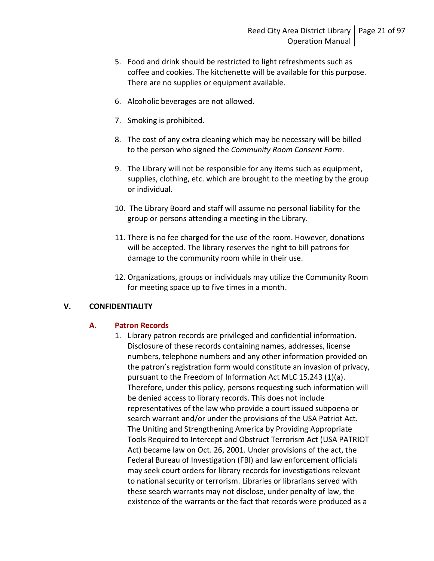- 5. Food and drink should be restricted to light refreshments such as coffee and cookies. The kitchenette will be available for this purpose. There are no supplies or equipment available.
- 6. Alcoholic beverages are not allowed.
- 7. Smoking is prohibited.
- 8. The cost of any extra cleaning which may be necessary will be billed to the person who signed the *Community Room Consent Form*.<br>9. The Library will not be responsible for any items such as equipment,
- supplies, clothing, etc. which are brought to the meeting by the group or individual.
- 10. The Library Board and staff will assume no personal liability for the group or persons attending a meeting in the Library.
- 11. There is no fee charged for the use of the room. However, donations will be accepted. The library reserves the right to bill patrons for damage to the community room while in their use.
- 12. Organizations, groups or individuals may utilize the Community Room for meeting space up to five times in a month.

# V. CONFIDENTIALITY

# A. Patron Records

1. Library patron records are privileged and confidential information. Disclosure of these records containing names, addresses, license numbers, telephone numbers and any other information provided on the patron's registration form would constitute an invasion of privacy, pursuant to the Freedom of Information Act MLC 15.243 (1)(a). Therefore, under this policy, persons requesting such information will be denied access to library records. This does not include representatives of the law who provide a court issued subpoena or search warrant and/or under the provisions of the USA Patriot Act. The Uniting and Strengthening America by Providing Appropriate Tools Required to Intercept and Obstruct Terrorism Act (USA PATRIOT Act) became law on Oct. 26, 2001. Under provisions of the act, the Federal Bureau of Investigation (FBI) and law enforcement officials may seek court orders for library records for investigations relevant to national security or terrorism. Libraries or librarians served with these search warrants may not disclose, under penalty of law, the existence of the warrants or the fact that records were produced as a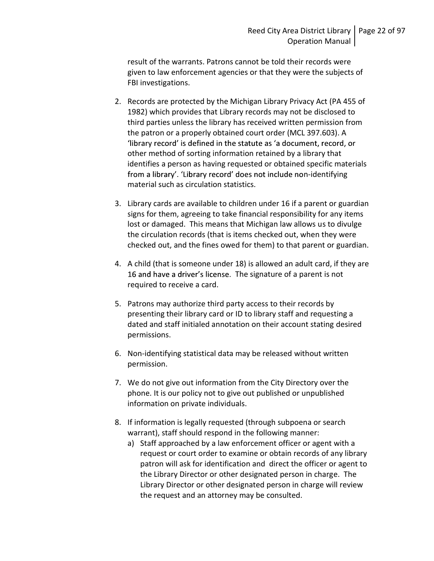result of the warrants. Patrons cannot be told their records were given to law enforcement agencies or that they were the subjects of FBI investigations.

- 2. Records are protected by the Michigan Library Privacy Act (PA 455 of 1982) which provides that Library records may not be disclosed to third parties unless the library has received written permission from the patron or a properly obtained court order (MCL 397.603). A 'library record' is defined in the statute as 'a document, record, or other method of sorting information retained by a library that identifies a person as having requested or obtained specific materials from a library'. 'Library record' does not include non-identifying material such as circulation statistics.
- 3. Library cards are available to children under 16 if a parent or guardian signs for them, agreeing to take financial responsibility for any items lost or damaged. This means that Michigan law allows us to divulge the circulation records (that is items checked out, when they were checked out, and the fines owed for them) to that parent or guardian.
- 4. A child (that is someone under 18) is allowed an adult card, if they are 16 and have a driver's license. The signature of a parent is not required to receive a card.
- 5. Patrons may authorize third party access to their records by presenting their library card or ID to library staff and requesting a dated and staff initialed annotation on their account stating desired permissions.
- 6. Non-identifying statistical data may be released without written permission.
- 7. We do not give out information from the City Directory over the phone. It is our policy not to give out published or unpublished information on private individuals.
- 8. If information is legally requested (through subpoena or search warrant), staff should respond in the following manner:
	- a) Staff approached by a law enforcement officer or agent with a request or court order to examine or obtain records of any library patron will ask for identification and direct the officer or agent to the Library Director or other designated person in charge. The Library Director or other designated person in charge will review the request and an attorney may be consulted.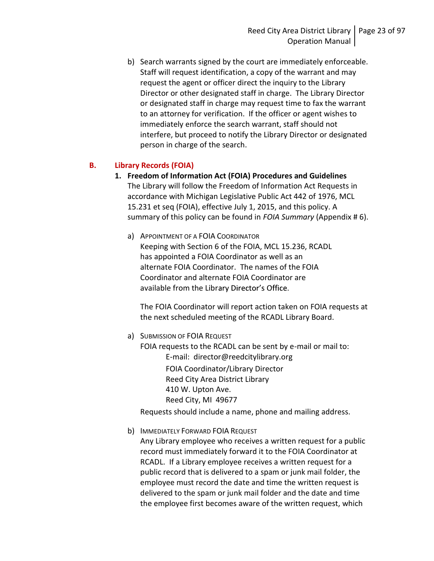b) Search warrants signed by the court are immediately enforceable. Staff will request identification, a copy of the warrant and may request the agent or officer direct the inquiry to the Library Director or other designated staff in charge. The Library Director or designated staff in charge may request time to fax the warrant to an attorney for verification. If the officer or agent wishes to immediately enforce the search warrant, staff should not interfere, but proceed to notify the Library Director or designated person in charge of the search.

# B. Library Records (FOIA)

- 1. Freedom of Information Act (FOIA) Procedures and Guidelines The Library will follow the Freedom of Information Act Requests in accordance with Michigan Legislative Public Act 442 of 1976, MCL 15.231 et seq (FOIA), effective July 1, 2015, and this policy. A summary of this policy can be found in FOIA Summary (Appendix #6).
	- a) APPOINTMENT OF A FOIA COORDINATOR Keeping with Section 6 of the FOIA, MCL 15.236, RCADL has appointed a FOIA Coordinator as well as an alternate FOIA Coordinator. The names of the FOIA Coordinator and alternate FOIA Coordinator are available from the Library Director's Office.

The FOIA Coordinator will report action taken on FOIA requests at the next scheduled meeting of the RCADL Library Board.

a) SUBMISSION OF FOIA REQUEST FOIA requests to the RCADL can be sent by e-mail or mail to: E-mail: director@reedcitylibrary.org FOIA Coordinator/Library Director Reed City Area District Library 410 W. Upton Ave. Reed City, MI 49677

Requests should include a name, phone and mailing address.

b) IMMEDIATELY FORWARD FOIA REQUEST

Any Library employee who receives a written request for a public record must immediately forward it to the FOIA Coordinator at RCADL. If a Library employee receives a written request for a public record that is delivered to a spam or junk mail folder, the employee must record the date and time the written request is delivered to the spam or junk mail folder and the date and time the employee first becomes aware of the written request, which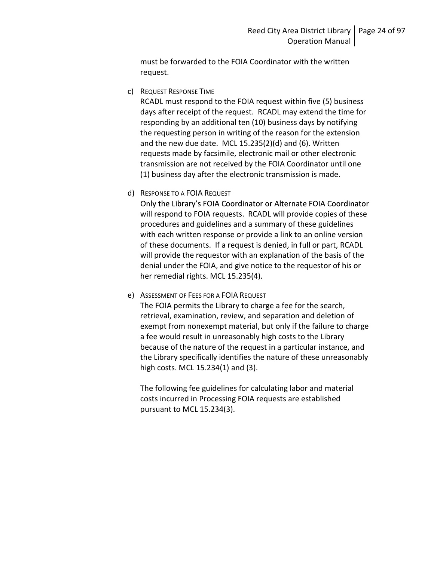must be forwarded to the FOIA Coordinator with the written request.

c) REQUEST RESPONSE TIME

RCADL must respond to the FOIA request within five (5) business days after receipt of the request. RCADL may extend the time for responding by an additional ten (10) business days by notifying the requesting person in writing of the reason for the extension and the new due date. MCL 15.235(2)(d) and (6). Written requests made by facsimile, electronic mail or other electronic transmission are not received by the FOIA Coordinator until one (1) business day after the electronic transmission is made.

d) RESPONSE TO A FOIA REQUEST

Only the Library's FOIA Coordinator or Alternate FOIA Coordinator will respond to FOIA requests. RCADL will provide copies of these procedures and guidelines and a summary of these guidelines with each written response or provide a link to an online version of these documents. If a request is denied, in full or part, RCADL will provide the requestor with an explanation of the basis of the denial under the FOIA, and give notice to the requestor of his or her remedial rights. MCL 15.235(4).

e) ASSESSMENT OF FEES FOR A FOIA REQUEST

The FOIA permits the Library to charge a fee for the search, retrieval, examination, review, and separation and deletion of exempt from nonexempt material, but only if the failure to charge a fee would result in unreasonably high costs to the Library because of the nature of the request in a particular instance, and the Library specifically identifies the nature of these unreasonably high costs. MCL 15.234(1) and (3).

The following fee guidelines for calculating labor and material costs incurred in Processing FOIA requests are established pursuant to MCL 15.234(3).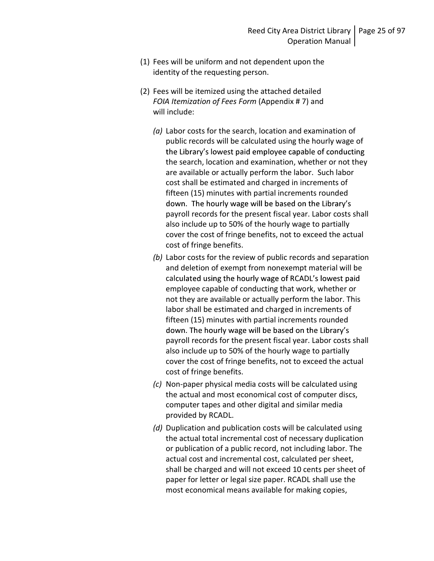- (1) Fees will be uniform and not dependent upon the identity of the requesting person.
- (2) Fees will be itemized using the attached detailed FOIA Itemization of Fees Form (Appendix # 7) and will include:
	- (a) Labor costs for the search, location and examination of public records will be calculated using the hourly wage of the Library's lowest paid employee capable of conducting the search, location and examination, whether or not they are available or actually perform the labor. Such labor cost shall be estimated and charged in increments of fifteen (15) minutes with partial increments rounded down. The hourly wage will be based on the Library's payroll records for the present fiscal year. Labor costs shall also include up to 50% of the hourly wage to partially cover the cost of fringe benefits, not to exceed the actual cost of fringe benefits.
	- (b) Labor costs for the review of public records and separation and deletion of exempt from nonexempt material will be calculated using the hourly wage of RCADL's lowest paid employee capable of conducting that work, whether or not they are available or actually perform the labor. This labor shall be estimated and charged in increments of fifteen (15) minutes with partial increments rounded down. The hourly wage will be based on the Library's payroll records for the present fiscal year. Labor costs shall also include up to 50% of the hourly wage to partially cover the cost of fringe benefits, not to exceed the actual cost of fringe benefits.
	- (c) Non-paper physical media costs will be calculated using the actual and most economical cost of computer discs, computer tapes and other digital and similar media provided by RCADL.
	- (d) Duplication and publication costs will be calculated using the actual total incremental cost of necessary duplication or publication of a public record, not including labor. The actual cost and incremental cost, calculated per sheet, shall be charged and will not exceed 10 cents per sheet of paper for letter or legal size paper. RCADL shall use the most economical means available for making copies,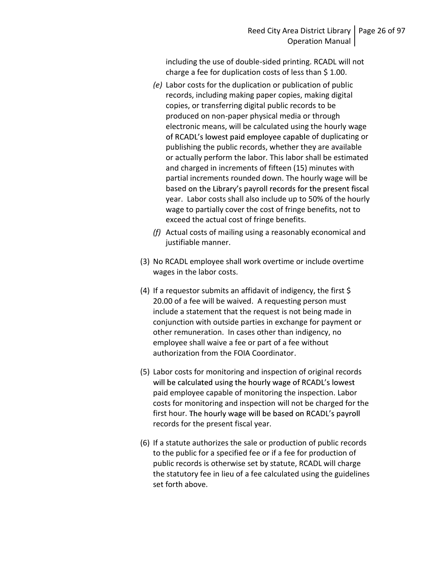including the use of double-sided printing. RCADL will not charge a fee for duplication costs of less than \$ 1.00.

- (e) Labor costs for the duplication or publication of public records, including making paper copies, making digital copies, or transferring digital public records to be produced on non-paper physical media or through electronic means, will be calculated using the hourly wage of RCADL's lowest paid employee capable of duplicating or publishing the public records, whether they are available or actually perform the labor. This labor shall be estimated and charged in increments of fifteen (15) minutes with partial increments rounded down. The hourly wage will be based on the Library's payroll records for the present fiscal year. Labor costs shall also include up to 50% of the hourly wage to partially cover the cost of fringe benefits, not to exceed the actual cost of fringe benefits.
- (f) Actual costs of mailing using a reasonably economical and justifiable manner.
- (3) No RCADL employee shall work overtime or include overtime wages in the labor costs.
- (4) If a requestor submits an affidavit of indigency, the first  $\oint$ 20.00 of a fee will be waived. A requesting person must include a statement that the request is not being made in conjunction with outside parties in exchange for payment or other remuneration. In cases other than indigency, no employee shall waive a fee or part of a fee without authorization from the FOIA Coordinator.
- (5) Labor costs for monitoring and inspection of original records will be calculated using the hourly wage of RCADL's lowest paid employee capable of monitoring the inspection. Labor costs for monitoring and inspection will not be charged for the first hour. The hourly wage will be based on RCADL's payroll records for the present fiscal year.
- (6) If a statute authorizes the sale or production of public records to the public for a specified fee or if a fee for production of public records is otherwise set by statute, RCADL will charge the statutory fee in lieu of a fee calculated using the guidelines set forth above.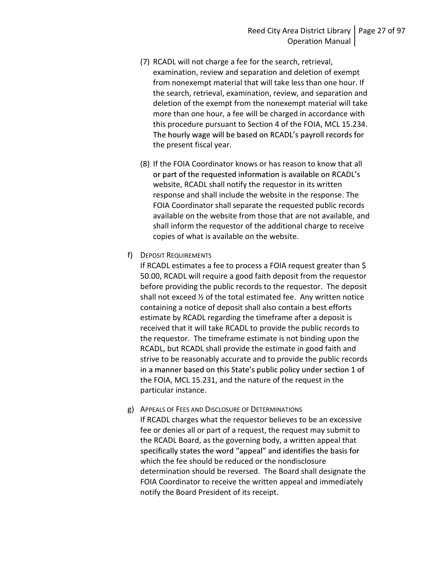- (7) RCADL will not charge a fee for the search, retrieval, examination, review and separation and deletion of exempt from nonexempt material that will take less than one hour. If the search, retrieval, examination, review, and separation and deletion of the exempt from the nonexempt material will take more than one hour, a fee will be charged in accordance with this procedure pursuant to Section 4 of the FOIA, MCL 15.234. The hourly wage will be based on RCADL's payroll records for the present fiscal year.
- (8) If the FOIA Coordinator knows or has reason to know that all or part of the requested information is available on RCADL's website, RCADL shall notify the requestor in its written response and shall include the website in the response. The FOIA Coordinator shall separate the requested public records available on the website from those that are not available, and shall inform the requestor of the additional charge to receive copies of what is available on the website.
- f) DEPOSIT REQUIREMENTS

If RCADL estimates a fee to process a FOIA request greater than \$ 50.00, RCADL will require a good faith deposit from the requestor before providing the public records to the requestor. The deposit shall not exceed  $\frac{1}{2}$  of the total estimated fee. Any written notice containing a notice of deposit shall also contain a best efforts estimate by RCADL regarding the timeframe after a deposit is received that it will take RCADL to provide the public records to the requestor. The timeframe estimate is not binding upon the RCADL, but RCADL shall provide the estimate in good faith and strive to be reasonably accurate and to provide the public records in a manner based on this State's public policy under section 1 of the FOIA, MCL 15.231, and the nature of the request in the particular instance.

g) APPEALS OF FEES AND DISCLOSURE OF DETERMINATIONS If RCADL charges what the requestor believes to be an excessive fee or denies all or part of a request, the request may submit to the RCADL Board, as the governing body, a written appeal that specifically states the word "appeal" and identifies the basis for which the fee should be reduced or the nondisclosure determination should be reversed. The Board shall designate the FOIA Coordinator to receive the written appeal and immediately notify the Board President of its receipt.